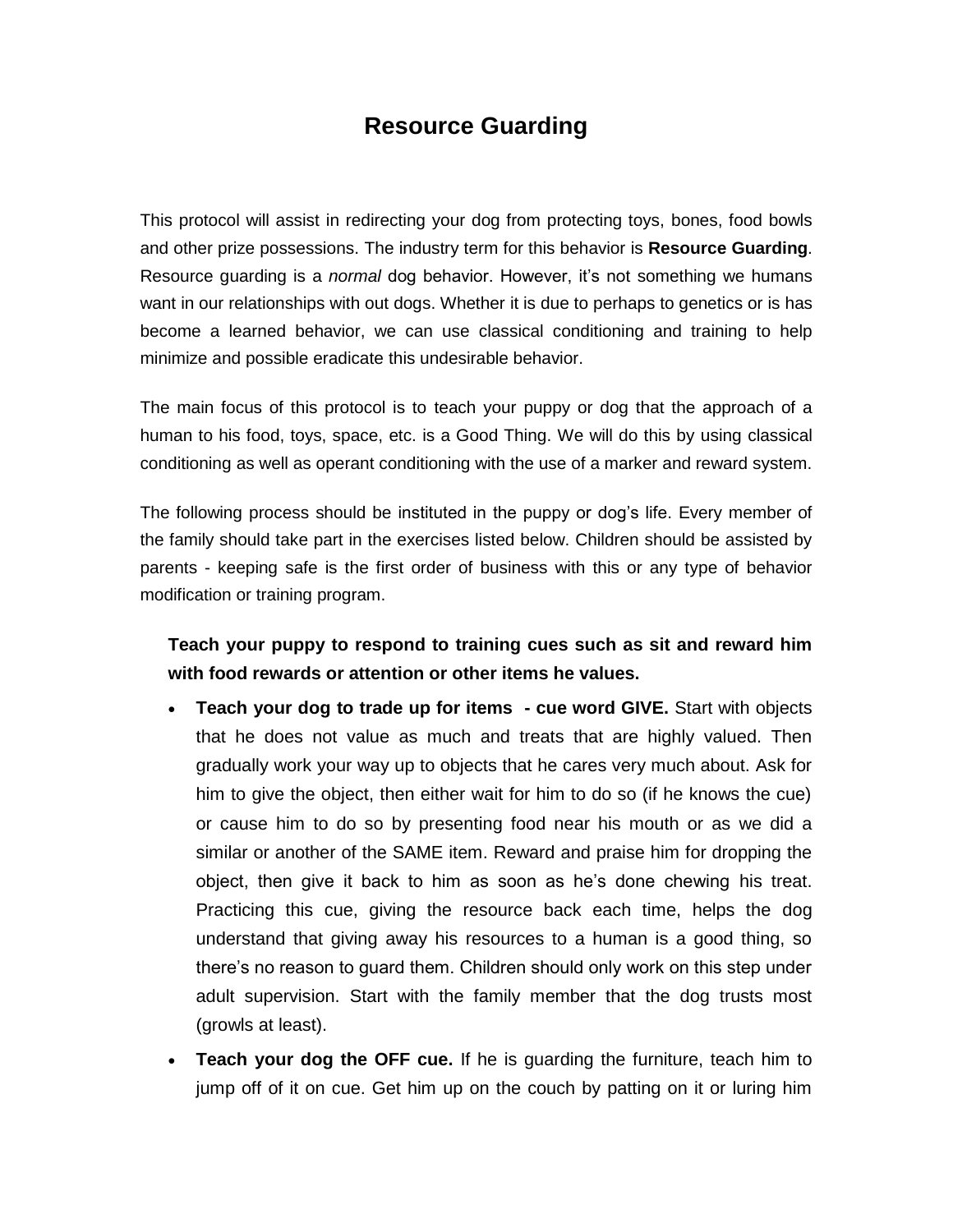## **Resource Guarding**

This protocol will assist in redirecting your dog from protecting toys, bones, food bowls and other prize possessions. The industry term for this behavior is **Resource Guarding**. Resource guarding is a *normal* dog behavior. However, it's not something we humans want in our relationships with out dogs. Whether it is due to perhaps to genetics or is has become a learned behavior, we can use classical conditioning and training to help minimize and possible eradicate this undesirable behavior.

The main focus of this protocol is to teach your puppy or dog that the approach of a human to his food, toys, space, etc. is a Good Thing. We will do this by using classical conditioning as well as operant conditioning with the use of a marker and reward system.

The following process should be instituted in the puppy or dog's life. Every member of the family should take part in the exercises listed below. Children should be assisted by parents - keeping safe is the first order of business with this or any type of behavior modification or training program.

**Teach your puppy to respond to training cues such as sit and reward him with food rewards or attention or other items he values.**

- **Teach your dog to trade up for items - cue word GIVE.** Start with objects that he does not value as much and treats that are highly valued. Then gradually work your way up to objects that he cares very much about. Ask for him to give the object, then either wait for him to do so (if he knows the cue) or cause him to do so by presenting food near his mouth or as we did a similar or another of the SAME item. Reward and praise him for dropping the object, then give it back to him as soon as he's done chewing his treat. Practicing this cue, giving the resource back each time, helps the dog understand that giving away his resources to a human is a good thing, so there's no reason to guard them. Children should only work on this step under adult supervision. Start with the family member that the dog trusts most (growls at least).
- **Teach your dog the OFF cue.** If he is guarding the furniture, teach him to jump off of it on cue. Get him up on the couch by patting on it or luring him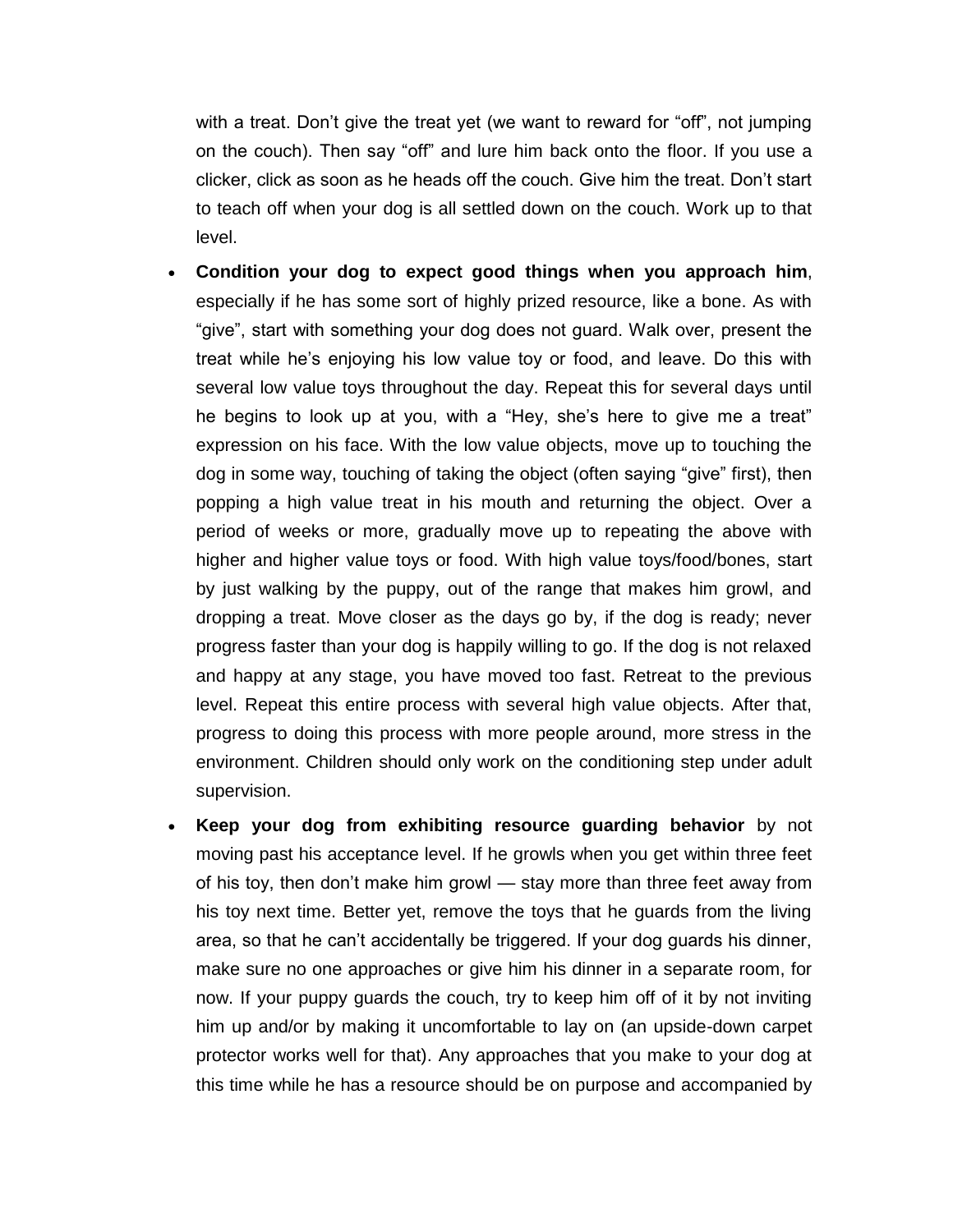with a treat. Don't give the treat yet (we want to reward for "off", not jumping on the couch). Then say "off" and lure him back onto the floor. If you use a clicker, click as soon as he heads off the couch. Give him the treat. Don't start to teach off when your dog is all settled down on the couch. Work up to that level.

- **Condition your dog to expect good things when you approach him**, especially if he has some sort of highly prized resource, like a bone. As with "give", start with something your dog does not guard. Walk over, present the treat while he's enjoying his low value toy or food, and leave. Do this with several low value toys throughout the day. Repeat this for several days until he begins to look up at you, with a "Hey, she's here to give me a treat" expression on his face. With the low value objects, move up to touching the dog in some way, touching of taking the object (often saying "give" first), then popping a high value treat in his mouth and returning the object. Over a period of weeks or more, gradually move up to repeating the above with higher and higher value toys or food. With high value toys/food/bones, start by just walking by the puppy, out of the range that makes him growl, and dropping a treat. Move closer as the days go by, if the dog is ready; never progress faster than your dog is happily willing to go. If the dog is not relaxed and happy at any stage, you have moved too fast. Retreat to the previous level. Repeat this entire process with several high value objects. After that, progress to doing this process with more people around, more stress in the environment. Children should only work on the conditioning step under adult supervision.
- **Keep your dog from exhibiting resource guarding behavior** by not moving past his acceptance level. If he growls when you get within three feet of his toy, then don't make him growl — stay more than three feet away from his toy next time. Better yet, remove the toys that he guards from the living area, so that he can't accidentally be triggered. If your dog guards his dinner, make sure no one approaches or give him his dinner in a separate room, for now. If your puppy guards the couch, try to keep him off of it by not inviting him up and/or by making it uncomfortable to lay on (an upside-down carpet protector works well for that). Any approaches that you make to your dog at this time while he has a resource should be on purpose and accompanied by